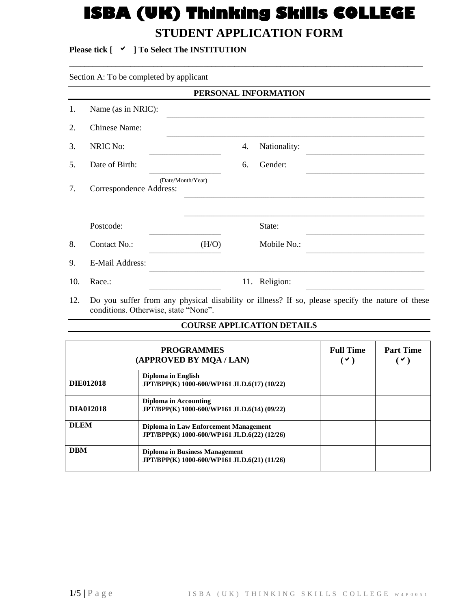# **ISBA (UK) Thinking Skills COLLEGE STUDENT APPLICATION FORM**

 $\overline{a}$  , and the contribution of the contribution of the contribution of the contribution of the contribution of the contribution of the contribution of the contribution of the contribution of the contribution of the co

## **Please tick [ ] To Select The INSTITUTION**

## Section A: To be completed by applicant

|     | PERSONAL INFORMATION    |                   |    |               |  |  |
|-----|-------------------------|-------------------|----|---------------|--|--|
| 1.  | Name (as in NRIC):      |                   |    |               |  |  |
| 2.  | <b>Chinese Name:</b>    |                   |    |               |  |  |
| 3.  | <b>NRIC No:</b>         |                   | 4. | Nationality:  |  |  |
| 5.  | Date of Birth:          |                   | 6. | Gender:       |  |  |
| 7.  | Correspondence Address: | (Date/Month/Year) |    |               |  |  |
|     | Postcode:               |                   |    | State:        |  |  |
| 8.  | Contact No.:            | (H/O)             |    | Mobile No.:   |  |  |
| 9.  | E-Mail Address:         |                   |    |               |  |  |
| 10. | Race.:                  |                   |    | 11. Religion: |  |  |

12. Do you suffer from any physical disability or illness? If so, please specify the nature of these conditions. Otherwise, state "None".

## **COURSE APPLICATION DETAILS**

| (APPROVED BY MQA / LAN) | <b>Full Time</b><br>$\vee$ )                                                         | <b>Part Time</b><br>$\checkmark$ |  |
|-------------------------|--------------------------------------------------------------------------------------|----------------------------------|--|
| <b>DIE012018</b>        | Diploma in English<br>JPT/BPP(K) 1000-600/WP161 JLD.6(17) (10/22)                    |                                  |  |
| <b>DIA012018</b>        | Diploma in Accounting<br>JPT/BPP(K) 1000-600/WP161 JLD.6(14) (09/22)                 |                                  |  |
| <b>DLEM</b>             | Diploma in Law Enforcement Management<br>JPT/BPP(K) 1000-600/WP161 JLD.6(22) (12/26) |                                  |  |
| <b>DBM</b>              | Diploma in Business Management<br>JPT/BPP(K) 1000-600/WP161 JLD.6(21) (11/26)        |                                  |  |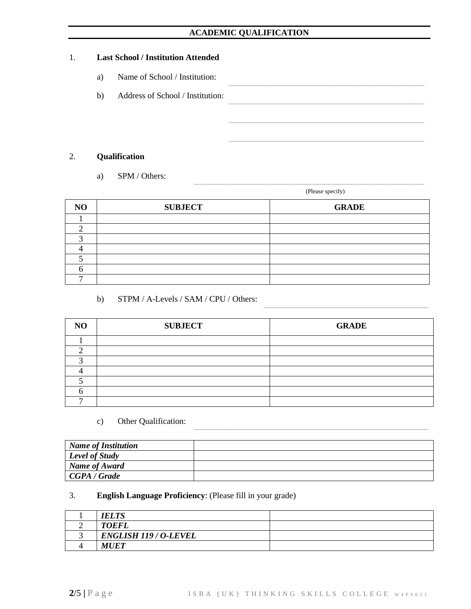## **ACADEMIC QUALIFICATION**

### 1. **Last School / Institution Attended**

- a) Name of School / Institution:
- b) Address of School / Institution:

## 2. **Qualification**

a) SPM / Others:

(Please specify)

\_\_\_\_\_\_\_\_\_\_\_\_\_\_\_\_\_\_\_\_\_\_\_\_\_\_\_\_\_\_\_\_\_\_\_\_\_\_\_\_\_\_\_\_\_\_\_\_\_\_\_\_\_\_\_\_\_\_\_\_\_\_\_\_\_\_\_\_\_\_\_\_\_\_\_\_\_\_\_\_\_\_\_\_\_

\_\_\_\_\_\_\_\_\_\_\_\_\_\_\_\_\_\_\_\_\_\_\_\_\_\_\_\_\_\_\_\_\_\_\_\_\_\_\_\_\_\_\_\_\_\_\_\_\_\_\_\_\_\_\_\_\_\_\_\_\_\_\_\_\_\_\_\_\_\_\_\_\_\_\_\_\_\_\_\_\_\_\_\_\_\_\_\_\_\_\_\_\_\_\_\_\_\_\_\_\_\_\_\_\_\_\_\_\_\_\_\_\_\_\_\_\_\_\_

\_\_\_\_\_\_\_\_\_\_\_\_\_\_\_\_\_\_\_\_\_\_\_\_\_\_\_\_\_\_\_\_\_\_\_\_\_\_\_\_\_\_\_\_\_\_\_\_\_\_\_\_\_\_\_\_\_\_\_\_\_\_\_\_\_\_\_\_\_\_\_\_\_\_\_\_\_\_\_\_\_\_\_\_\_\_\_\_\_\_\_\_\_\_\_\_\_\_\_\_\_

\_\_\_\_\_\_\_\_\_\_\_\_\_\_\_\_\_\_\_\_\_\_\_\_\_\_\_\_\_\_\_\_\_\_\_\_\_\_\_\_\_\_\_\_\_\_\_\_\_\_\_\_\_\_\_\_\_\_\_\_\_\_\_\_\_\_\_\_\_\_\_\_\_\_\_\_\_\_\_\_\_\_\_\_\_\_\_\_\_\_\_\_\_\_\_\_\_\_\_\_\_

\_\_\_\_\_\_\_\_\_\_\_\_\_\_\_\_\_\_\_\_\_\_\_\_\_\_\_\_\_\_\_\_\_\_\_\_\_\_\_\_\_\_\_\_\_\_\_\_\_\_\_\_\_\_\_\_\_\_\_\_\_\_\_\_\_\_\_\_\_\_\_\_\_\_\_\_\_\_\_\_\_\_\_\_\_\_\_\_\_\_\_\_\_\_\_\_\_\_\_\_\_

| N <sub>O</sub> | <b>SUBJECT</b> | <b>GRADE</b> |
|----------------|----------------|--------------|
|                |                |              |
|                |                |              |
|                |                |              |
|                |                |              |
|                |                |              |
|                |                |              |
|                |                |              |

b) STPM / A-Levels / SAM / CPU / Others:

| N <sub>O</sub> | <b>SUBJECT</b> | <b>GRADE</b> |
|----------------|----------------|--------------|
|                |                |              |
|                |                |              |
|                |                |              |
|                |                |              |
|                |                |              |
|                |                |              |
|                |                |              |

### c) Other Qualification:

| Name of Institution |  |
|---------------------|--|
| Level of Study      |  |
| Name of Award       |  |
| CGPA/Grade          |  |

## 3. **English Language Proficiency**: (Please fill in your grade)

| <b>IELTS</b>                 |  |
|------------------------------|--|
| <b>TOEFL</b>                 |  |
| <b>ENGLISH 119 / O-LEVEL</b> |  |
| <b>MUET</b>                  |  |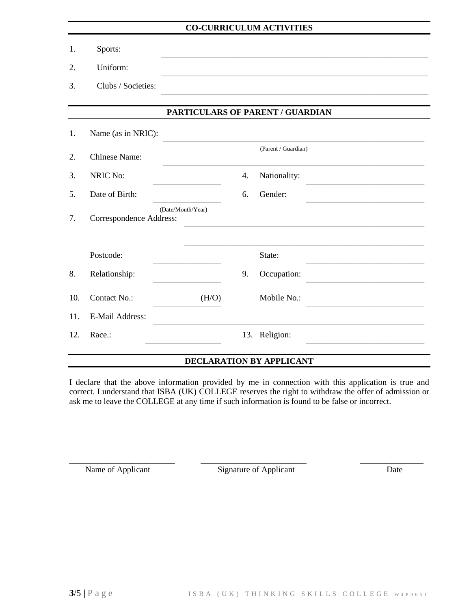## **CO-CURRICULUM ACTIVITIES**

- 1. Sports:
- 2. Uniform:
- 3. Clubs / Societies:

## PARTICULARS OF PARENT / GUARDIAN

| 1.  | Name (as in NRIC):      |                   |    |                     |
|-----|-------------------------|-------------------|----|---------------------|
| 2.  | <b>Chinese Name:</b>    |                   |    | (Parent / Guardian) |
| 3.  | <b>NRIC No:</b>         |                   | 4. | Nationality:        |
| 5.  | Date of Birth:          |                   | 6. | Gender:             |
| 7.  | Correspondence Address: | (Date/Month/Year) |    |                     |
|     | Postcode:               |                   |    | State:              |
| 8.  | Relationship:           |                   | 9. | Occupation:         |
| 10. | Contact No.:            | (H/O)             |    | Mobile No.:         |
| 11. | <b>E-Mail Address:</b>  |                   |    |                     |
| 12. | Race.:                  |                   |    | 13. Religion:       |
|     |                         |                   |    |                     |

## DECLARATION BY APPLICANT

I declare that the above information provided by me in connection with this application is true and correct. I understand that ISBA (UK) COLLEGE reserves the right to withdraw the offer of admission or ask me to leave the COLLEGE at any time if such information is found to be false or incorrect.

Name of Applicant

Signature of Applicant

Date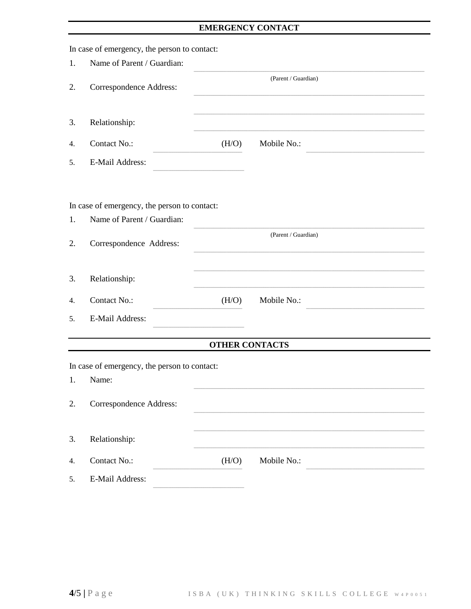## EMERGENCY CONTACT

|    | In case of emergency, the person to contact: |                       |                     |  |
|----|----------------------------------------------|-----------------------|---------------------|--|
| 1. | Name of Parent / Guardian:                   |                       |                     |  |
| 2. | Correspondence Address:                      |                       | (Parent / Guardian) |  |
| 3. | Relationship:                                |                       |                     |  |
| 4. | Contact No.:                                 | (H/O)                 | Mobile No.:         |  |
| 5. | <b>E-Mail Address:</b>                       |                       |                     |  |
|    | In case of emergency, the person to contact: |                       |                     |  |
| 1. | Name of Parent / Guardian:                   |                       |                     |  |
| 2. | Correspondence Address:                      |                       | (Parent / Guardian) |  |
| 3. | Relationship:                                |                       |                     |  |
| 4. | Contact No.:                                 | (H/O)                 | Mobile No.:         |  |
| 5. | <b>E-Mail Address:</b>                       |                       |                     |  |
|    |                                              | <b>OTHER CONTACTS</b> |                     |  |
|    | In case of emergency, the person to contact: |                       |                     |  |
| 1. | Name:                                        |                       |                     |  |
| 2. | Correspondence Address:                      |                       |                     |  |
| 3. | Relationship:                                |                       |                     |  |
| 4. | Contact No.:                                 | (H/O)                 | Mobile No.:         |  |
| 5. | E-Mail Address:                              |                       |                     |  |